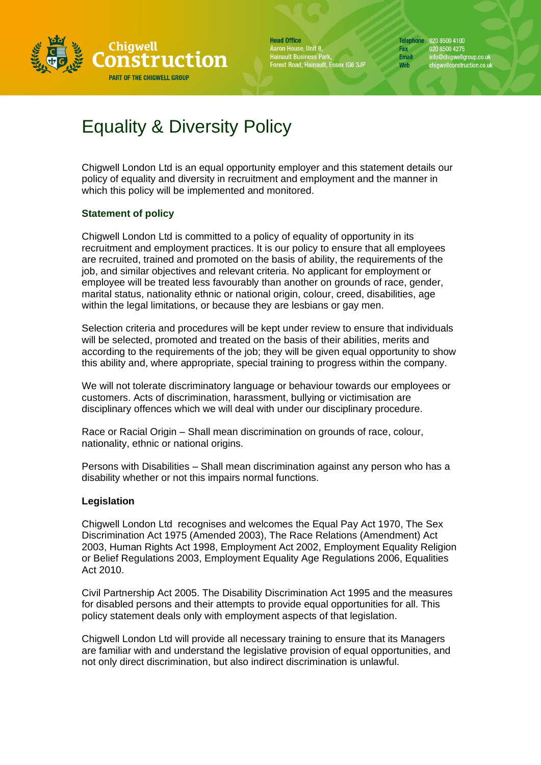

**Head Office** Aaron House, Unit 8,<br>Hainault Business Park,<br>Forest Road, Hainault, Essex IG6 3JP Telephone 020 8500 4100 020 8500 4275 Fax info@chigwellgroup.co.uk<br>chigwellconstruction.co.uk Email Web

# Equality & Diversity Policy

Chigwell London Ltd is an equal opportunity employer and this statement details our policy of equality and diversity in recruitment and employment and the manner in which this policy will be implemented and monitored.

# **Statement of policy**

Chigwell London Ltd is committed to a policy of equality of opportunity in its recruitment and employment practices. It is our policy to ensure that all employees are recruited, trained and promoted on the basis of ability, the requirements of the job, and similar objectives and relevant criteria. No applicant for employment or employee will be treated less favourably than another on grounds of race, gender, marital status, nationality ethnic or national origin, colour, creed, disabilities, age within the legal limitations, or because they are lesbians or gay men.

Selection criteria and procedures will be kept under review to ensure that individuals will be selected, promoted and treated on the basis of their abilities, merits and according to the requirements of the job; they will be given equal opportunity to show this ability and, where appropriate, special training to progress within the company.

We will not tolerate discriminatory language or behaviour towards our employees or customers. Acts of discrimination, harassment, bullying or victimisation are disciplinary offences which we will deal with under our disciplinary procedure.

Race or Racial Origin – Shall mean discrimination on grounds of race, colour, nationality, ethnic or national origins.

Persons with Disabilities – Shall mean discrimination against any person who has a disability whether or not this impairs normal functions.

#### **Legislation**

Chigwell London Ltd recognises and welcomes the Equal Pay Act 1970, The Sex Discrimination Act 1975 (Amended 2003), The Race Relations (Amendment) Act 2003, Human Rights Act 1998, Employment Act 2002, Employment Equality Religion or Belief Regulations 2003, Employment Equality Age Regulations 2006, Equalities Act 2010.

Civil Partnership Act 2005. The Disability Discrimination Act 1995 and the measures for disabled persons and their attempts to provide equal opportunities for all. This policy statement deals only with employment aspects of that legislation.

Chigwell London Ltd will provide all necessary training to ensure that its Managers are familiar with and understand the legislative provision of equal opportunities, and not only direct discrimination, but also indirect discrimination is unlawful.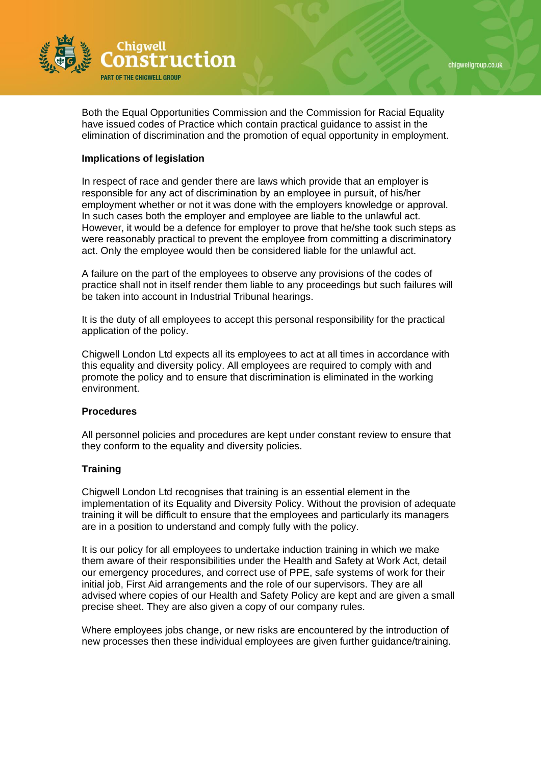

Both the Equal Opportunities Commission and the Commission for Racial Equality have issued codes of Practice which contain practical guidance to assist in the elimination of discrimination and the promotion of equal opportunity in employment.

## **Implications of legislation**

In respect of race and gender there are laws which provide that an employer is responsible for any act of discrimination by an employee in pursuit, of his/her employment whether or not it was done with the employers knowledge or approval. In such cases both the employer and employee are liable to the unlawful act. However, it would be a defence for employer to prove that he/she took such steps as were reasonably practical to prevent the employee from committing a discriminatory act. Only the employee would then be considered liable for the unlawful act.

A failure on the part of the employees to observe any provisions of the codes of practice shall not in itself render them liable to any proceedings but such failures will be taken into account in Industrial Tribunal hearings.

It is the duty of all employees to accept this personal responsibility for the practical application of the policy.

Chigwell London Ltd expects all its employees to act at all times in accordance with this equality and diversity policy. All employees are required to comply with and promote the policy and to ensure that discrimination is eliminated in the working environment.

#### **Procedures**

All personnel policies and procedures are kept under constant review to ensure that they conform to the equality and diversity policies.

#### **Training**

Chigwell London Ltd recognises that training is an essential element in the implementation of its Equality and Diversity Policy. Without the provision of adequate training it will be difficult to ensure that the employees and particularly its managers are in a position to understand and comply fully with the policy.

It is our policy for all employees to undertake induction training in which we make them aware of their responsibilities under the Health and Safety at Work Act, detail our emergency procedures, and correct use of PPE, safe systems of work for their initial job, First Aid arrangements and the role of our supervisors. They are all advised where copies of our Health and Safety Policy are kept and are given a small precise sheet. They are also given a copy of our company rules.

Where employees jobs change, or new risks are encountered by the introduction of new processes then these individual employees are given further guidance/training.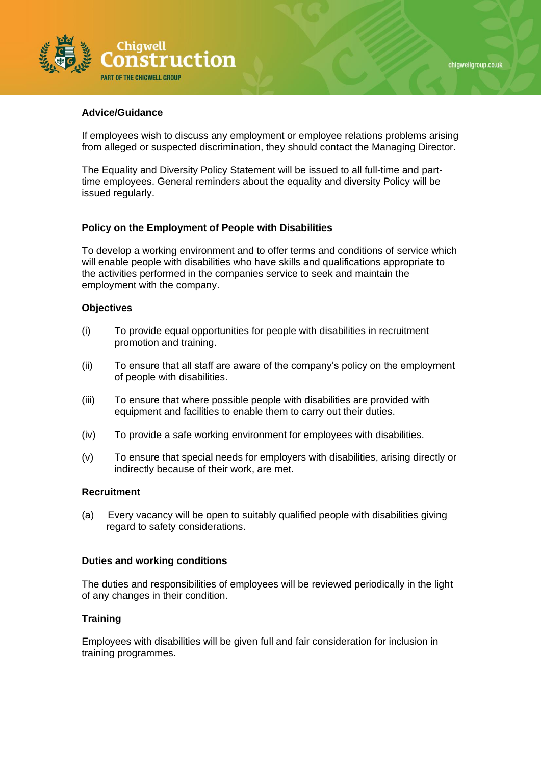



## **Advice/Guidance**

If employees wish to discuss any employment or employee relations problems arising from alleged or suspected discrimination, they should contact the Managing Director.

The Equality and Diversity Policy Statement will be issued to all full-time and parttime employees. General reminders about the equality and diversity Policy will be issued regularly.

## **Policy on the Employment of People with Disabilities**

To develop a working environment and to offer terms and conditions of service which will enable people with disabilities who have skills and qualifications appropriate to the activities performed in the companies service to seek and maintain the employment with the company.

#### **Objectives**

- (i) To provide equal opportunities for people with disabilities in recruitment promotion and training.
- (ii) To ensure that all staff are aware of the company's policy on the employment of people with disabilities.
- (iii) To ensure that where possible people with disabilities are provided with equipment and facilities to enable them to carry out their duties.
- (iv) To provide a safe working environment for employees with disabilities.
- (v) To ensure that special needs for employers with disabilities, arising directly or indirectly because of their work, are met.

## **Recruitment**

(a) Every vacancy will be open to suitably qualified people with disabilities giving regard to safety considerations.

#### **Duties and working conditions**

The duties and responsibilities of employees will be reviewed periodically in the light of any changes in their condition.

# **Training**

Employees with disabilities will be given full and fair consideration for inclusion in training programmes.